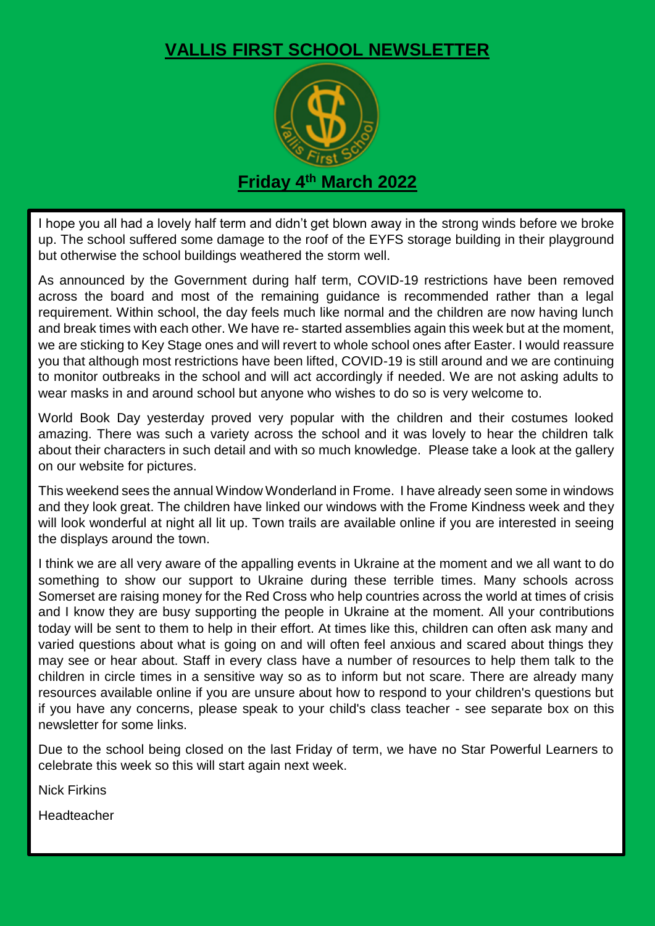## **VALLIS FIRST SCHOOL NEWSLETTER**



**Friday 4 th March 2022**

I hope you all had a lovely half term and didn't get blown away in the strong winds before we broke up. The school suffered some damage to the roof of the EYFS storage building in their playground but otherwise the school buildings weathered the storm well.

As announced by the Government during half term, COVID-19 restrictions have been removed across the board and most of the remaining guidance is recommended rather than a legal requirement. Within school, the day feels much like normal and the children are now having lunch and break times with each other. We have re- started assemblies again this week but at the moment, we are sticking to Key Stage ones and will revert to whole school ones after Easter. I would reassure you that although most restrictions have been lifted, COVID-19 is still around and we are continuing to monitor outbreaks in the school and will act accordingly if needed. We are not asking adults to wear masks in and around school but anyone who wishes to do so is very welcome to.

World Book Day yesterday proved very popular with the children and their costumes looked amazing. There was such a variety across the school and it was lovely to hear the children talk about their characters in such detail and with so much knowledge. Please take a look at the gallery on our website for pictures.

This weekend sees the annual Window Wonderland in Frome. I have already seen some in windows and they look great. The children have linked our windows with the Frome Kindness week and they will look wonderful at night all lit up. Town trails are available online if you are interested in seeing the displays around the town.

I think we are all very aware of the appalling events in Ukraine at the moment and we all want to do something to show our support to Ukraine during these terrible times. Many schools across Somerset are raising money for the Red Cross who help countries across the world at times of crisis and I know they are busy supporting the people in Ukraine at the moment. All your contributions today will be sent to them to help in their effort. At times like this, children can often ask many and varied questions about what is going on and will often feel anxious and scared about things they may see or hear about. Staff in every class have a number of resources to help them talk to the children in circle times in a sensitive way so as to inform but not scare. There are already many resources available online if you are unsure about how to respond to your children's questions but if you have any concerns, please speak to your child's class teacher - see separate box on this newsletter for some links.

Due to the school being closed on the last Friday of term, we have no Star Powerful Learners to celebrate this week so this will start again next week.

Nick Firkins

Headteacher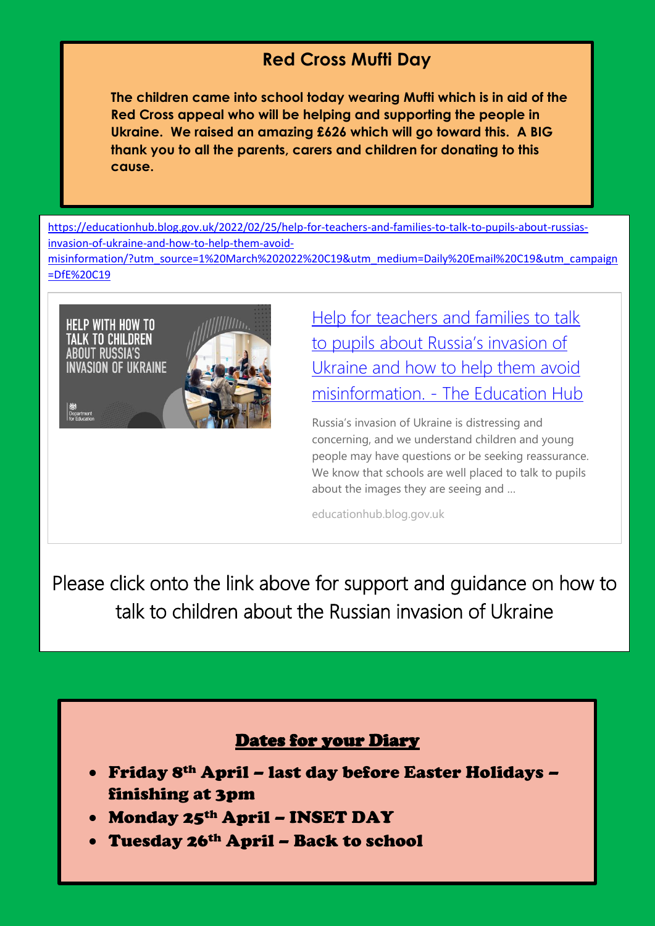## **Red Cross Mufti Day**

**The children came into school today wearing Mufti which is in aid of the Red Cross appeal who will be helping and supporting the people in Ukraine. We raised an amazing £626 which will go toward this. A BIG thank you to all the parents, carers and children for donating to this cause.**

[https://educationhub.blog.gov.uk/2022/02/25/help-for-teachers-and-families-to-talk-to-pupils-about-russias](https://educationhub.blog.gov.uk/2022/02/25/help-for-teachers-and-families-to-talk-to-pupils-about-russias-invasion-of-ukraine-and-how-to-help-them-avoid-misinformation/?utm_source=1%20March%202022%20C19&utm_medium=Daily%20Email%20C19&utm_campaign=DfE%20C19)[invasion-of-ukraine-and-how-to-help-them-avoid](https://educationhub.blog.gov.uk/2022/02/25/help-for-teachers-and-families-to-talk-to-pupils-about-russias-invasion-of-ukraine-and-how-to-help-them-avoid-misinformation/?utm_source=1%20March%202022%20C19&utm_medium=Daily%20Email%20C19&utm_campaign=DfE%20C19)[misinformation/?utm\\_source=1%20March%202022%20C19&utm\\_medium=Daily%20Email%20C19&utm\\_campaign](https://educationhub.blog.gov.uk/2022/02/25/help-for-teachers-and-families-to-talk-to-pupils-about-russias-invasion-of-ukraine-and-how-to-help-them-avoid-misinformation/?utm_source=1%20March%202022%20C19&utm_medium=Daily%20Email%20C19&utm_campaign=DfE%20C19) [=DfE%20C19](https://educationhub.blog.gov.uk/2022/02/25/help-for-teachers-and-families-to-talk-to-pupils-about-russias-invasion-of-ukraine-and-how-to-help-them-avoid-misinformation/?utm_source=1%20March%202022%20C19&utm_medium=Daily%20Email%20C19&utm_campaign=DfE%20C19)



[Help for teachers and families to talk](https://educationhub.blog.gov.uk/2022/02/25/help-for-teachers-and-families-to-talk-to-pupils-about-russias-invasion-of-ukraine-and-how-to-help-them-avoid-misinformation/?utm_source=1%20March%202022%20C19&utm_medium=Daily%20Email%20C19&utm_campaign=DfE%20C19)  [to pupils about Russia's invasion of](https://educationhub.blog.gov.uk/2022/02/25/help-for-teachers-and-families-to-talk-to-pupils-about-russias-invasion-of-ukraine-and-how-to-help-them-avoid-misinformation/?utm_source=1%20March%202022%20C19&utm_medium=Daily%20Email%20C19&utm_campaign=DfE%20C19)  [Ukraine and how to help them avoid](https://educationhub.blog.gov.uk/2022/02/25/help-for-teachers-and-families-to-talk-to-pupils-about-russias-invasion-of-ukraine-and-how-to-help-them-avoid-misinformation/?utm_source=1%20March%202022%20C19&utm_medium=Daily%20Email%20C19&utm_campaign=DfE%20C19)  misinformation. - [The Education Hub](https://educationhub.blog.gov.uk/2022/02/25/help-for-teachers-and-families-to-talk-to-pupils-about-russias-invasion-of-ukraine-and-how-to-help-them-avoid-misinformation/?utm_source=1%20March%202022%20C19&utm_medium=Daily%20Email%20C19&utm_campaign=DfE%20C19)

Russia's invasion of Ukraine is distressing and concerning, and we understand children and young people may have questions or be seeking reassurance. We know that schools are well placed to talk to pupils about the images they are seeing and …

educationhub.blog.gov.uk

Please click onto the link above for support and guidance on how to talk to children about the Russian invasion of Ukraine

## Dates for your Diary

- Friday 8th April last day before Easter Holidays finishing at 3pm
- Monday 25<sup>th</sup> April INSET DAY
- Tuesday 26th April Back to school